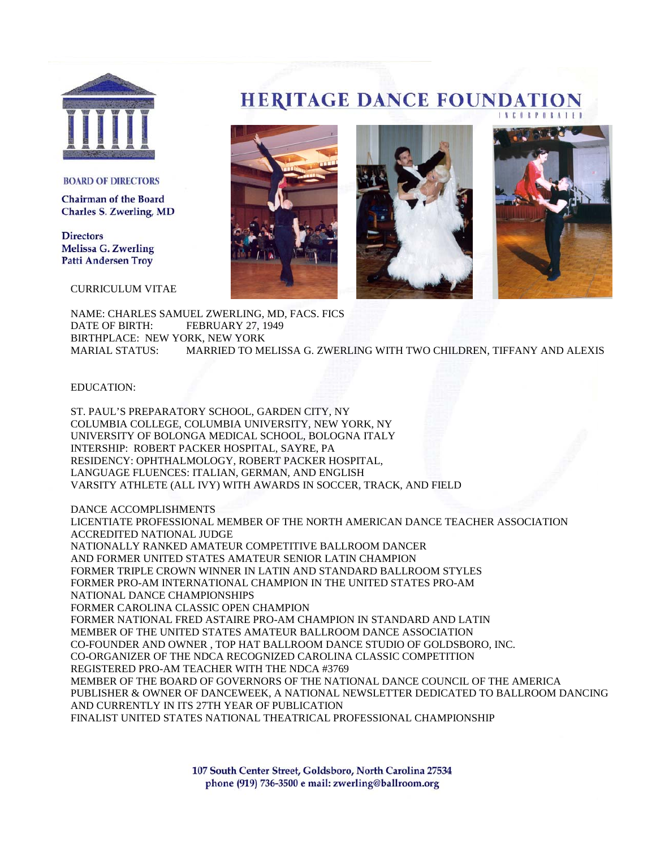

#### **BOARD OF DIRECTORS**

**Chairman of the Board Charles S. Zwerling, MD** 

**Directors Melissa G. Zwerling Patti Andersen Troy** 

CURRICULUM VITAE

# **HERITAGE DANCE FOUNDATION**



NAME: CHARLES SAMUEL ZWERLING, MD, FACS. FICS DATE OF BIRTH: FEBRUARY 27, 1949 BIRTHPLACE: NEW YORK, NEW YORK MARIAL STATUS: MARRIED TO MELISSA G. ZWERLING WITH TWO CHILDREN, TIFFANY AND ALEXIS

EDUCATION:

ST. PAUL'S PREPARATORY SCHOOL, GARDEN CITY, NY COLUMBIA COLLEGE, COLUMBIA UNIVERSITY, NEW YORK, NY UNIVERSITY OF BOLONGA MEDICAL SCHOOL, BOLOGNA ITALY INTERSHIP: ROBERT PACKER HOSPITAL, SAYRE, PA RESIDENCY: OPHTHALMOLOGY, ROBERT PACKER HOSPITAL, LANGUAGE FLUENCES: ITALIAN, GERMAN, AND ENGLISH VARSITY ATHLETE (ALL IVY) WITH AWARDS IN SOCCER, TRACK, AND FIELD

DANCE ACCOMPLISHMENTS

LICENTIATE PROFESSIONAL MEMBER OF THE NORTH AMERICAN DANCE TEACHER ASSOCIATION ACCREDITED NATIONAL JUDGE NATIONALLY RANKED AMATEUR COMPETITIVE BALLROOM DANCER AND FORMER UNITED STATES AMATEUR SENIOR LATIN CHAMPION FORMER TRIPLE CROWN WINNER IN LATIN AND STANDARD BALLROOM STYLES FORMER PRO-AM INTERNATIONAL CHAMPION IN THE UNITED STATES PRO-AM NATIONAL DANCE CHAMPIONSHIPS FORMER CAROLINA CLASSIC OPEN CHAMPION FORMER NATIONAL FRED ASTAIRE PRO-AM CHAMPION IN STANDARD AND LATIN MEMBER OF THE UNITED STATES AMATEUR BALLROOM DANCE ASSOCIATION CO-FOUNDER AND OWNER , TOP HAT BALLROOM DANCE STUDIO OF GOLDSBORO, INC. CO-ORGANIZER OF THE NDCA RECOGNIZED CAROLINA CLASSIC COMPETITION REGISTERED PRO-AM TEACHER WITH THE NDCA #3769 MEMBER OF THE BOARD OF GOVERNORS OF THE NATIONAL DANCE COUNCIL OF THE AMERICA PUBLISHER & OWNER OF DANCEWEEK, A NATIONAL NEWSLETTER DEDICATED TO BALLROOM DANCING AND CURRENTLY IN ITS 27TH YEAR OF PUBLICATION FINALIST UNITED STATES NATIONAL THEATRICAL PROFESSIONAL CHAMPIONSHIP